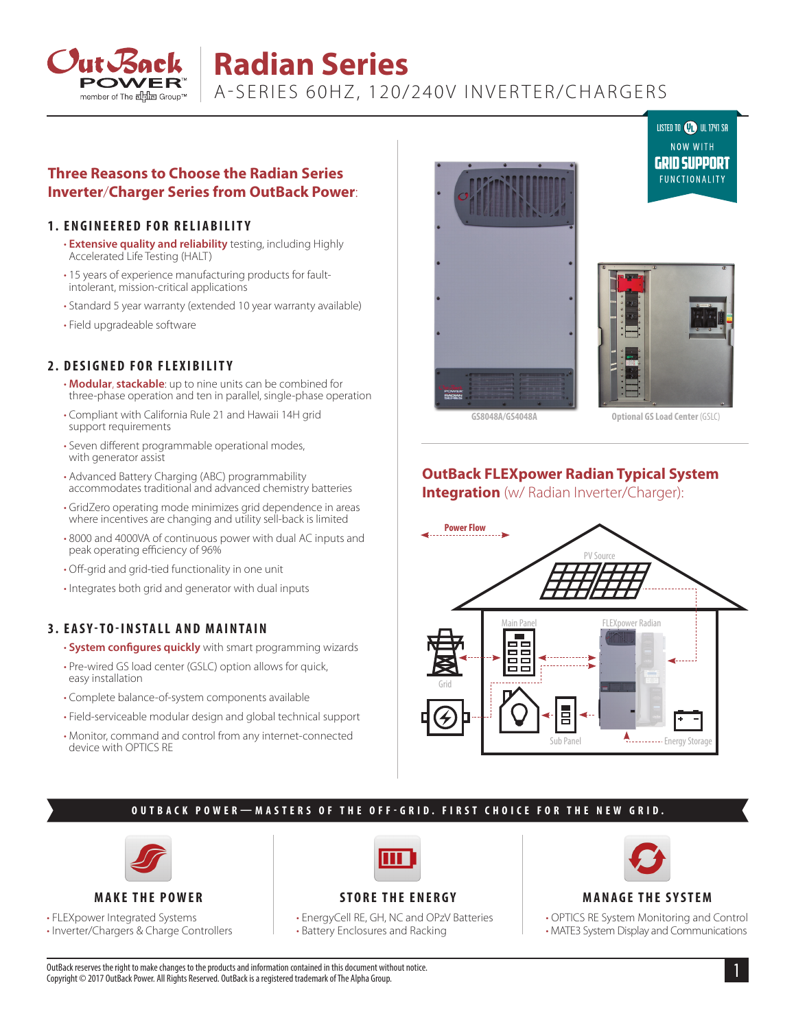

# **Radian Series**

[A-SERIES 60HZ, 120/240V INVERTER/CHARGERS](https://www.altestore.com/store/inverters/hybrid-inverters/outback-power-radian-series-inverter-chargers-p40853/#OUTGS4048A1)

## **Three Reasons to Choose the Radian Series Inverter**/**Charger Series from OutBack Power**:

#### **1. ENGINEERED FOR RELIABILITY**

- **Extensive quality and reliability** testing, including Highly Accelerated Life Testing (HALT)
- 15 years of experience manufacturing products for faultintolerant, mission-critical applications
- Standard 5 year warranty (extended 10 year warranty available)
- Field upgradeable software

## **2. DESIGNED FOR FLEXIBILITY**

- **Modular**, **stackable**: up to nine units can be combined for three-phase operation and ten in parallel, single-phase operation
- Compliant with California Rule 21 and Hawaii 14H grid support requirements
- Seven different programmable operational modes, with generator assist
- Advanced Battery Charging (ABC) programmability accommodates traditional and advanced chemistry batteries
- GridZero operating mode minimizes grid dependence in areas where incentives are changing and utility sell-back is limited
- 8000 and 4000VA of continuous power with dual AC inputs and peak operating efficiency of 96%
- Off-grid and grid-tied functionality in one unit
- Integrates both grid and generator with dual inputs

## **3. EASY-TO-INSTALL AND MAINTAIN**

- **System configures quickly** with smart programming wizards
- Pre-wired GS load center (GSLC) option allows for quick, easy installation
- Complete balance-of-system components available
- Field-serviceable modular design and global technical support
- Monitor, command and control from any internet-connected device with OPTICS RE





**GS8048A/GS4048A Optional GS Load Center** (GSLC)

LISTED TO **OD** UL 1741 SA

## **OutBack FLEXpower Radian Typical System Integration** (w/ Radian Inverter/Charger):



## **OUTBACK POWER—MASTERS OF THE OFF-GRID. FIRST CHOICE FOR THE NEW GRID.**





• FLEXpower Integrated Systems

• Inverter/Chargers & Charge Controllers



# **STORE THE ENERGY**

• EnergyCell RE, GH, NC and OPzV Batteries • Battery Enclosures and Racking



#### **MANAGE THE SYSTEM**

• OPTICS RE System Monitoring and Control • MATE3 System Display and Communications

1 OutBack reserves the right to make changes to the products and information contained in this document without notice. Copyright © 2017 OutBack Power. All Rights Reserved. OutBack is a registered trademark of The Alpha Group.